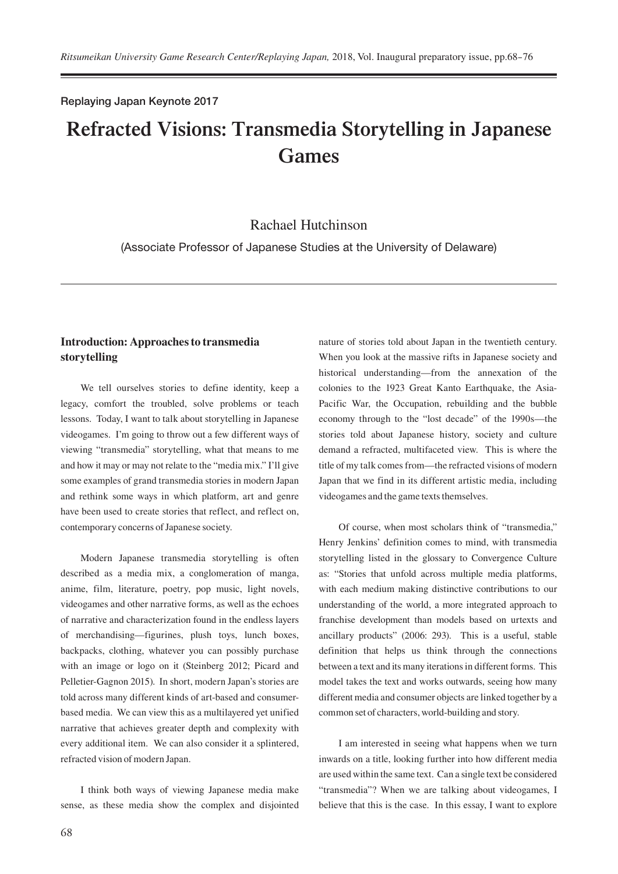#### Replaying Japan Keynote 2017

# **Refracted Visions: Transmedia Storytelling in Japanese Games**

## Rachael Hutchinson

(Associate Professor of Japanese Studies at the University of Delaware)

## **Introduction: Approaches to transmedia storytelling**

We tell ourselves stories to define identity, keep a legacy, comfort the troubled, solve problems or teach lessons. Today, I want to talk about storytelling in Japanese videogames. I'm going to throw out a few different ways of viewing "transmedia" storytelling, what that means to me and how it may or may not relate to the "media mix." I'll give some examples of grand transmedia stories in modern Japan and rethink some ways in which platform, art and genre have been used to create stories that reflect, and reflect on, contemporary concerns of Japanese society.

Modern Japanese transmedia storytelling is often described as a media mix, a conglomeration of manga, anime, film, literature, poetry, pop music, light novels, videogames and other narrative forms, as well as the echoes of narrative and characterization found in the endless layers of merchandising—figurines, plush toys, lunch boxes, backpacks, clothing, whatever you can possibly purchase with an image or logo on it (Steinberg 2012; Picard and Pelletier-Gagnon 2015). In short, modern Japan's stories are told across many different kinds of art-based and consumerbased media. We can view this as a multilayered yet unified narrative that achieves greater depth and complexity with every additional item. We can also consider it a splintered, refracted vision of modern Japan.

I think both ways of viewing Japanese media make sense, as these media show the complex and disjointed nature of stories told about Japan in the twentieth century. When you look at the massive rifts in Japanese society and historical understanding—from the annexation of the colonies to the 1923 Great Kanto Earthquake, the Asia-Pacific War, the Occupation, rebuilding and the bubble economy through to the "lost decade" of the 1990s—the stories told about Japanese history, society and culture demand a refracted, multifaceted view. This is where the title of my talk comes from—the refracted visions of modern Japan that we find in its different artistic media, including videogames and the game texts themselves.

Of course, when most scholars think of "transmedia," Henry Jenkins' definition comes to mind, with transmedia storytelling listed in the glossary to Convergence Culture as: "Stories that unfold across multiple media platforms, with each medium making distinctive contributions to our understanding of the world, a more integrated approach to franchise development than models based on urtexts and ancillary products" (2006: 293). This is a useful, stable definition that helps us think through the connections between a text and its many iterations in different forms. This model takes the text and works outwards, seeing how many different media and consumer objects are linked together by a common set of characters, world-building and story.

I am interested in seeing what happens when we turn inwards on a title, looking further into how different media are used within the same text. Can a single text be considered "transmedia"? When we are talking about videogames, I believe that this is the case. In this essay, I want to explore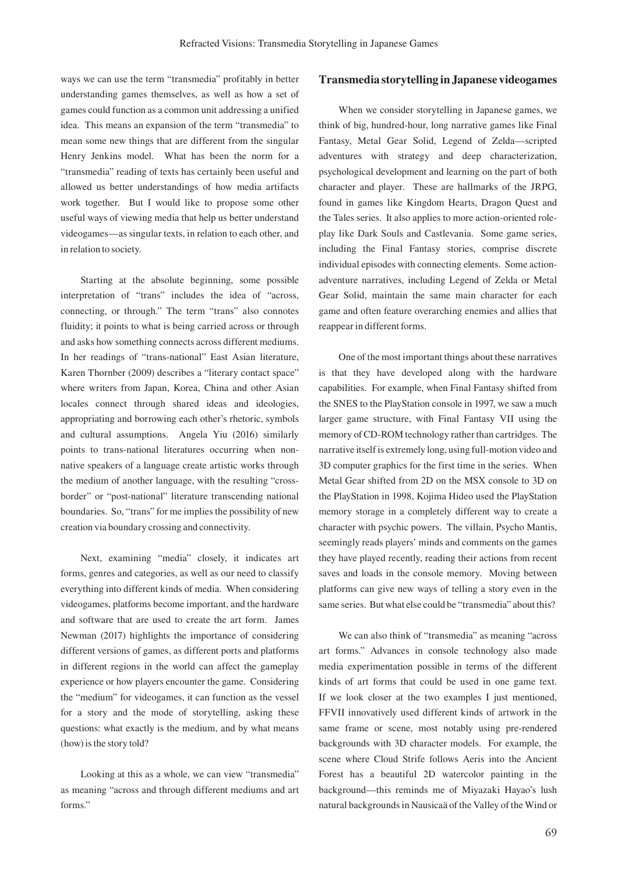ways we can use the term "transmedia" profitably in better understanding games themselves, as well as how a set of games could function as a common unit addressing a unified idea. This means an expansion of the term "transmedia" to mean some new things that are different from the singular Henry Jenkins model. What has been the norm for a "transmedia" reading of texts has certainly been useful and allowed us better understandings of how media artifacts work together. But I would like to propose some other useful ways of viewing media that help us better understand videogames—as singular texts, in relation to each other, and in relation to society.

Starting at the absolute beginning, some possible interpretation of "trans" includes the idea of "across, connecting, or through." The term "trans" also connotes fluidity; it points to what is being carried across or through and asks how something connects across different mediums. In her readings of "trans-national" East Asian literature, Karen Thornber (2009) describes a "literary contact space" where writers from Japan, Korea, China and other Asian locales connect through shared ideas and ideologies, appropriating and borrowing each other's rhetoric, symbols and cultural assumptions. Angela Yiu (2016) similarly points to trans-national literatures occurring when nonnative speakers of a language create artistic works through the medium of another language, with the resulting "crossborder" or "post-national" literature transcending national boundaries. So, "trans" for me implies the possibility of new creation via boundary crossing and connectivity.

Next, examining "media" closely, it indicates art forms, genres and categories, as well as our need to classify everything into different kinds of media. When considering videogames, platforms become important, and the hardware and software that are used to create the art form. James Newman (2017) highlights the importance of considering different versions of games, as different ports and platforms in different regions in the world can affect the gameplay experience or how players encounter the game. Considering the "medium" for videogames, it can function as the vessel for a story and the mode of storytelling, asking these questions: what exactly is the medium, and by what means (how) is the story told?

Looking at this as a whole, we can view "transmedia" as meaning "across and through different mediums and art forms."

#### **Transmedia storytelling in Japanese videogames**

When we consider storytelling in Japanese games, we think of big, hundred-hour, long narrative games like Final Fantasy, Metal Gear Solid, Legend of Zelda—scripted adventures with strategy and deep characterization, psychological development and learning on the part of both character and player. These are hallmarks of the JRPG, found in games like Kingdom Hearts, Dragon Quest and the Tales series. It also applies to more action-oriented roleplay like Dark Souls and Castlevania. Some game series, including the Final Fantasy stories, comprise discrete individual episodes with connecting elements. Some actionadventure narratives, including Legend of Zelda or Metal Gear Solid, maintain the same main character for each game and often feature overarching enemies and allies that reappear in different forms.

One of the most important things about these narratives is that they have developed along with the hardware capabilities. For example, when Final Fantasy shifted from the SNES to the PlayStation console in 1997, we saw a much larger game structure, with Final Fantasy VII using the memory of CD-ROM technology rather than cartridges. The narrative itself is extremely long, using full-motion video and 3D computer graphics for the first time in the series. When Metal Gear shifted from 2D on the MSX console to 3D on the PlayStation in 1998, Kojima Hideo used the PlayStation memory storage in a completely different way to create a character with psychic powers. The villain, Psycho Mantis, seemingly reads players' minds and comments on the games they have played recently, reading their actions from recent saves and loads in the console memory. Moving between platforms can give new ways of telling a story even in the same series. But what else could be "transmedia" about this?

We can also think of "transmedia" as meaning "across art forms." Advances in console technology also made media experimentation possible in terms of the different kinds of art forms that could be used in one game text. If we look closer at the two examples I just mentioned, FFVII innovatively used different kinds of artwork in the same frame or scene, most notably using pre-rendered backgrounds with 3D character models. For example, the scene where Cloud Strife follows Aeris into the Ancient Forest has a beautiful 2D watercolor painting in the background—this reminds me of Miyazaki Hayao's lush natural backgrounds in Nausicaä of the Valley of the Wind or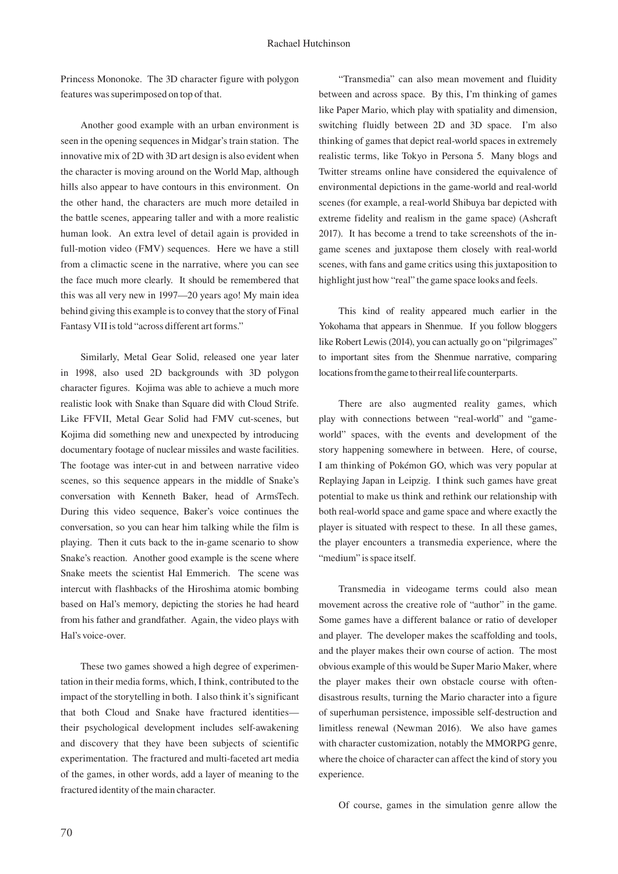Princess Mononoke. The 3D character figure with polygon features was superimposed on top of that.

Another good example with an urban environment is seen in the opening sequences in Midgar's train station. The innovative mix of 2D with 3D art design is also evident when the character is moving around on the World Map, although hills also appear to have contours in this environment. On the other hand, the characters are much more detailed in the battle scenes, appearing taller and with a more realistic human look. An extra level of detail again is provided in full-motion video (FMV) sequences. Here we have a still from a climactic scene in the narrative, where you can see the face much more clearly. It should be remembered that this was all very new in 1997—20 years ago! My main idea behind giving this example is to convey that the story of Final Fantasy VII is told "across different art forms."

Similarly, Metal Gear Solid, released one year later in 1998, also used 2D backgrounds with 3D polygon character figures. Kojima was able to achieve a much more realistic look with Snake than Square did with Cloud Strife. Like FFVII, Metal Gear Solid had FMV cut-scenes, but Kojima did something new and unexpected by introducing documentary footage of nuclear missiles and waste facilities. The footage was inter-cut in and between narrative video scenes, so this sequence appears in the middle of Snake's conversation with Kenneth Baker, head of ArmsTech. During this video sequence, Baker's voice continues the conversation, so you can hear him talking while the film is playing. Then it cuts back to the in-game scenario to show Snake's reaction. Another good example is the scene where Snake meets the scientist Hal Emmerich. The scene was intercut with flashbacks of the Hiroshima atomic bombing based on Hal's memory, depicting the stories he had heard from his father and grandfather. Again, the video plays with Hal's voice-over.

These two games showed a high degree of experimentation in their media forms, which, I think, contributed to the impact of the storytelling in both. I also think it's significant that both Cloud and Snake have fractured identities their psychological development includes self-awakening and discovery that they have been subjects of scientific experimentation. The fractured and multi-faceted art media of the games, in other words, add a layer of meaning to the fractured identity of the main character.

"Transmedia" can also mean movement and fluidity between and across space. By this, I'm thinking of games like Paper Mario, which play with spatiality and dimension, switching fluidly between 2D and 3D space. I'm also thinking of games that depict real-world spaces in extremely realistic terms, like Tokyo in Persona 5. Many blogs and Twitter streams online have considered the equivalence of environmental depictions in the game-world and real-world scenes (for example, a real-world Shibuya bar depicted with extreme fidelity and realism in the game space) (Ashcraft 2017). It has become a trend to take screenshots of the ingame scenes and juxtapose them closely with real-world scenes, with fans and game critics using this juxtaposition to highlight just how "real" the game space looks and feels.

This kind of reality appeared much earlier in the Yokohama that appears in Shenmue. If you follow bloggers like Robert Lewis (2014), you can actually go on "pilgrimages" to important sites from the Shenmue narrative, comparing locations from the game to their real life counterparts.

There are also augmented reality games, which play with connections between "real-world" and "gameworld" spaces, with the events and development of the story happening somewhere in between. Here, of course, I am thinking of Pokémon GO, which was very popular at Replaying Japan in Leipzig. I think such games have great potential to make us think and rethink our relationship with both real-world space and game space and where exactly the player is situated with respect to these. In all these games, the player encounters a transmedia experience, where the "medium" is space itself.

Transmedia in videogame terms could also mean movement across the creative role of "author" in the game. Some games have a different balance or ratio of developer and player. The developer makes the scaffolding and tools, and the player makes their own course of action. The most obvious example of this would be Super Mario Maker, where the player makes their own obstacle course with oftendisastrous results, turning the Mario character into a figure of superhuman persistence, impossible self-destruction and limitless renewal (Newman 2016). We also have games with character customization, notably the MMORPG genre, where the choice of character can affect the kind of story you experience.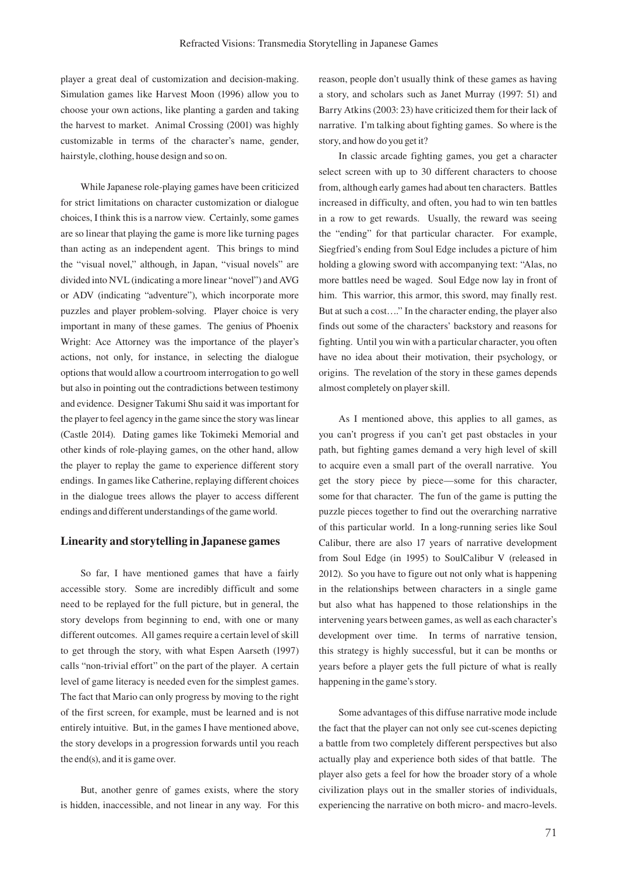player a great deal of customization and decision-making. Simulation games like Harvest Moon (1996) allow you to choose your own actions, like planting a garden and taking the harvest to market. Animal Crossing (2001) was highly customizable in terms of the character's name, gender, hairstyle, clothing, house design and so on.

While Japanese role-playing games have been criticized for strict limitations on character customization or dialogue choices, I think this is a narrow view. Certainly, some games are so linear that playing the game is more like turning pages than acting as an independent agent. This brings to mind the "visual novel," although, in Japan, "visual novels" are divided into NVL (indicating a more linear "novel") and AVG or ADV (indicating "adventure"), which incorporate more puzzles and player problem-solving. Player choice is very important in many of these games. The genius of Phoenix Wright: Ace Attorney was the importance of the player's actions, not only, for instance, in selecting the dialogue options that would allow a courtroom interrogation to go well but also in pointing out the contradictions between testimony and evidence. Designer Takumi Shu said it was important for the player to feel agency in the game since the story was linear (Castle 2014). Dating games like Tokimeki Memorial and other kinds of role-playing games, on the other hand, allow the player to replay the game to experience different story endings. In games like Catherine, replaying different choices in the dialogue trees allows the player to access different endings and different understandings of the game world.

#### **Linearity and storytelling in Japanese games**

So far, I have mentioned games that have a fairly accessible story. Some are incredibly difficult and some need to be replayed for the full picture, but in general, the story develops from beginning to end, with one or many different outcomes. All games require a certain level of skill to get through the story, with what Espen Aarseth (1997) calls "non-trivial effort" on the part of the player. A certain level of game literacy is needed even for the simplest games. The fact that Mario can only progress by moving to the right of the first screen, for example, must be learned and is not entirely intuitive. But, in the games I have mentioned above, the story develops in a progression forwards until you reach the end(s), and it is game over.

But, another genre of games exists, where the story is hidden, inaccessible, and not linear in any way. For this reason, people don't usually think of these games as having a story, and scholars such as Janet Murray (1997: 51) and Barry Atkins (2003: 23) have criticized them for their lack of narrative. I'm talking about fighting games. So where is the story, and how do you get it?

In classic arcade fighting games, you get a character select screen with up to 30 different characters to choose from, although early games had about ten characters. Battles increased in difficulty, and often, you had to win ten battles in a row to get rewards. Usually, the reward was seeing the "ending" for that particular character. For example, Siegfried's ending from Soul Edge includes a picture of him holding a glowing sword with accompanying text: "Alas, no more battles need be waged. Soul Edge now lay in front of him. This warrior, this armor, this sword, may finally rest. But at such a cost…." In the character ending, the player also finds out some of the characters' backstory and reasons for fighting. Until you win with a particular character, you often have no idea about their motivation, their psychology, or origins. The revelation of the story in these games depends almost completely on player skill.

As I mentioned above, this applies to all games, as you can't progress if you can't get past obstacles in your path, but fighting games demand a very high level of skill to acquire even a small part of the overall narrative. You get the story piece by piece—some for this character, some for that character. The fun of the game is putting the puzzle pieces together to find out the overarching narrative of this particular world. In a long-running series like Soul Calibur, there are also 17 years of narrative development from Soul Edge (in 1995) to SoulCalibur V (released in 2012). So you have to figure out not only what is happening in the relationships between characters in a single game but also what has happened to those relationships in the intervening years between games, as well as each character's development over time. In terms of narrative tension, this strategy is highly successful, but it can be months or years before a player gets the full picture of what is really happening in the game's story.

Some advantages of this diffuse narrative mode include the fact that the player can not only see cut-scenes depicting a battle from two completely different perspectives but also actually play and experience both sides of that battle. The player also gets a feel for how the broader story of a whole civilization plays out in the smaller stories of individuals, experiencing the narrative on both micro- and macro-levels.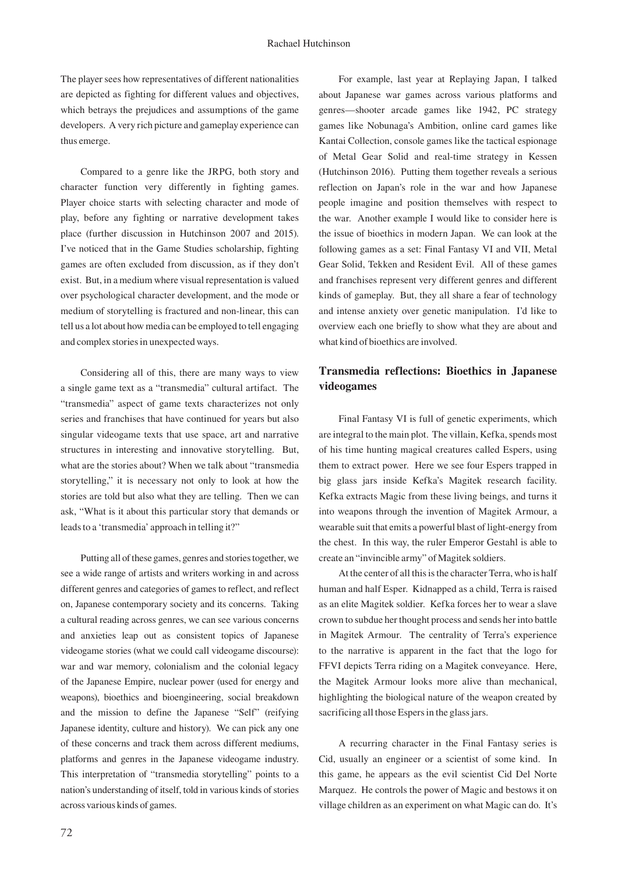The player sees how representatives of different nationalities are depicted as fighting for different values and objectives, which betrays the prejudices and assumptions of the game developers. A very rich picture and gameplay experience can thus emerge.

Compared to a genre like the JRPG, both story and character function very differently in fighting games. Player choice starts with selecting character and mode of play, before any fighting or narrative development takes place (further discussion in Hutchinson 2007 and 2015). I've noticed that in the Game Studies scholarship, fighting games are often excluded from discussion, as if they don't exist. But, in a medium where visual representation is valued over psychological character development, and the mode or medium of storytelling is fractured and non-linear, this can tell us a lot about how media can be employed to tell engaging and complex stories in unexpected ways.

Considering all of this, there are many ways to view a single game text as a "transmedia" cultural artifact. The "transmedia" aspect of game texts characterizes not only series and franchises that have continued for years but also singular videogame texts that use space, art and narrative structures in interesting and innovative storytelling. But, what are the stories about? When we talk about "transmedia storytelling," it is necessary not only to look at how the stories are told but also what they are telling. Then we can ask, "What is it about this particular story that demands or leads to a 'transmedia' approach in telling it?"

Putting all of these games, genres and stories together, we see a wide range of artists and writers working in and across different genres and categories of games to reflect, and reflect on, Japanese contemporary society and its concerns. Taking a cultural reading across genres, we can see various concerns and anxieties leap out as consistent topics of Japanese videogame stories (what we could call videogame discourse): war and war memory, colonialism and the colonial legacy of the Japanese Empire, nuclear power (used for energy and weapons), bioethics and bioengineering, social breakdown and the mission to define the Japanese "Self" (reifying Japanese identity, culture and history). We can pick any one of these concerns and track them across different mediums, platforms and genres in the Japanese videogame industry. This interpretation of "transmedia storytelling" points to a nation's understanding of itself, told in various kinds of stories across various kinds of games.

For example, last year at Replaying Japan, I talked about Japanese war games across various platforms and genres—shooter arcade games like 1942, PC strategy games like Nobunaga's Ambition, online card games like Kantai Collection, console games like the tactical espionage of Metal Gear Solid and real-time strategy in Kessen (Hutchinson 2016). Putting them together reveals a serious reflection on Japan's role in the war and how Japanese people imagine and position themselves with respect to the war. Another example I would like to consider here is the issue of bioethics in modern Japan. We can look at the following games as a set: Final Fantasy VI and VII, Metal Gear Solid, Tekken and Resident Evil. All of these games and franchises represent very different genres and different kinds of gameplay. But, they all share a fear of technology and intense anxiety over genetic manipulation. I'd like to overview each one briefly to show what they are about and what kind of bioethics are involved.

## **Transmedia reflections: Bioethics in Japanese videogames**

Final Fantasy VI is full of genetic experiments, which are integral to the main plot. The villain, Kefka, spends most of his time hunting magical creatures called Espers, using them to extract power. Here we see four Espers trapped in big glass jars inside Kefka's Magitek research facility. Kefka extracts Magic from these living beings, and turns it into weapons through the invention of Magitek Armour, a wearable suit that emits a powerful blast of light-energy from the chest. In this way, the ruler Emperor Gestahl is able to create an "invincible army" of Magitek soldiers.

At the center of all this is the character Terra, who is half human and half Esper. Kidnapped as a child, Terra is raised as an elite Magitek soldier. Kefka forces her to wear a slave crown to subdue her thought process and sends her into battle in Magitek Armour. The centrality of Terra's experience to the narrative is apparent in the fact that the logo for FFVI depicts Terra riding on a Magitek conveyance. Here, the Magitek Armour looks more alive than mechanical, highlighting the biological nature of the weapon created by sacrificing all those Espers in the glass jars.

A recurring character in the Final Fantasy series is Cid, usually an engineer or a scientist of some kind. In this game, he appears as the evil scientist Cid Del Norte Marquez. He controls the power of Magic and bestows it on village children as an experiment on what Magic can do. It's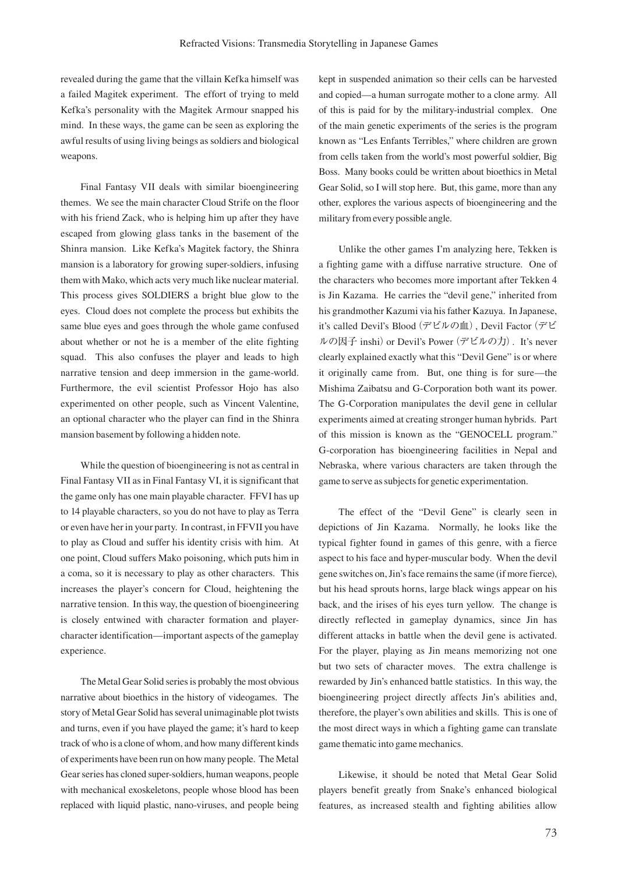revealed during the game that the villain Kefka himself was a failed Magitek experiment. The effort of trying to meld Kefka's personality with the Magitek Armour snapped his mind. In these ways, the game can be seen as exploring the awful results of using living beings as soldiers and biological weapons.

Final Fantasy VII deals with similar bioengineering themes. We see the main character Cloud Strife on the floor with his friend Zack, who is helping him up after they have escaped from glowing glass tanks in the basement of the Shinra mansion. Like Kefka's Magitek factory, the Shinra mansion is a laboratory for growing super-soldiers, infusing them with Mako, which acts very much like nuclear material. This process gives SOLDIERS a bright blue glow to the eyes. Cloud does not complete the process but exhibits the same blue eyes and goes through the whole game confused about whether or not he is a member of the elite fighting squad. This also confuses the player and leads to high narrative tension and deep immersion in the game-world. Furthermore, the evil scientist Professor Hojo has also experimented on other people, such as Vincent Valentine, an optional character who the player can find in the Shinra mansion basement by following a hidden note.

While the question of bioengineering is not as central in Final Fantasy VII as in Final Fantasy VI, it is significant that the game only has one main playable character. FFVI has up to 14 playable characters, so you do not have to play as Terra or even have her in your party. In contrast, in FFVII you have to play as Cloud and suffer his identity crisis with him. At one point, Cloud suffers Mako poisoning, which puts him in a coma, so it is necessary to play as other characters. This increases the player's concern for Cloud, heightening the narrative tension. In this way, the question of bioengineering is closely entwined with character formation and playercharacter identification—important aspects of the gameplay experience.

The Metal Gear Solid series is probably the most obvious narrative about bioethics in the history of videogames. The story of Metal Gear Solid has several unimaginable plot twists and turns, even if you have played the game; it's hard to keep track of who is a clone of whom, and how many different kinds of experiments have been run on how many people. The Metal Gear series has cloned super-soldiers, human weapons, people with mechanical exoskeletons, people whose blood has been replaced with liquid plastic, nano-viruses, and people being kept in suspended animation so their cells can be harvested and copied—a human surrogate mother to a clone army. All of this is paid for by the military-industrial complex. One of the main genetic experiments of the series is the program known as "Les Enfants Terribles," where children are grown from cells taken from the world's most powerful soldier, Big Boss. Many books could be written about bioethics in Metal Gear Solid, so I will stop here. But, this game, more than any other, explores the various aspects of bioengineering and the military from every possible angle.

Unlike the other games I'm analyzing here, Tekken is a fighting game with a diffuse narrative structure. One of the characters who becomes more important after Tekken 4 is Jin Kazama. He carries the "devil gene," inherited from his grandmother Kazumi via his father Kazuya. In Japanese, it's called Devil's Blood (デビルの血), Devil Factor (デビ ルの因子 inshi) or Devil's Power (デビルの力). It's never clearly explained exactly what this "Devil Gene" is or where it originally came from. But, one thing is for sure—the Mishima Zaibatsu and G-Corporation both want its power. The G-Corporation manipulates the devil gene in cellular experiments aimed at creating stronger human hybrids. Part of this mission is known as the "GENOCELL program." G-corporation has bioengineering facilities in Nepal and Nebraska, where various characters are taken through the game to serve as subjects for genetic experimentation.

The effect of the "Devil Gene" is clearly seen in depictions of Jin Kazama. Normally, he looks like the typical fighter found in games of this genre, with a fierce aspect to his face and hyper-muscular body. When the devil gene switches on, Jin's face remains the same (if more fierce), but his head sprouts horns, large black wings appear on his back, and the irises of his eyes turn yellow. The change is directly reflected in gameplay dynamics, since Jin has different attacks in battle when the devil gene is activated. For the player, playing as Jin means memorizing not one but two sets of character moves. The extra challenge is rewarded by Jin's enhanced battle statistics. In this way, the bioengineering project directly affects Jin's abilities and, therefore, the player's own abilities and skills. This is one of the most direct ways in which a fighting game can translate game thematic into game mechanics.

Likewise, it should be noted that Metal Gear Solid players benefit greatly from Snake's enhanced biological features, as increased stealth and fighting abilities allow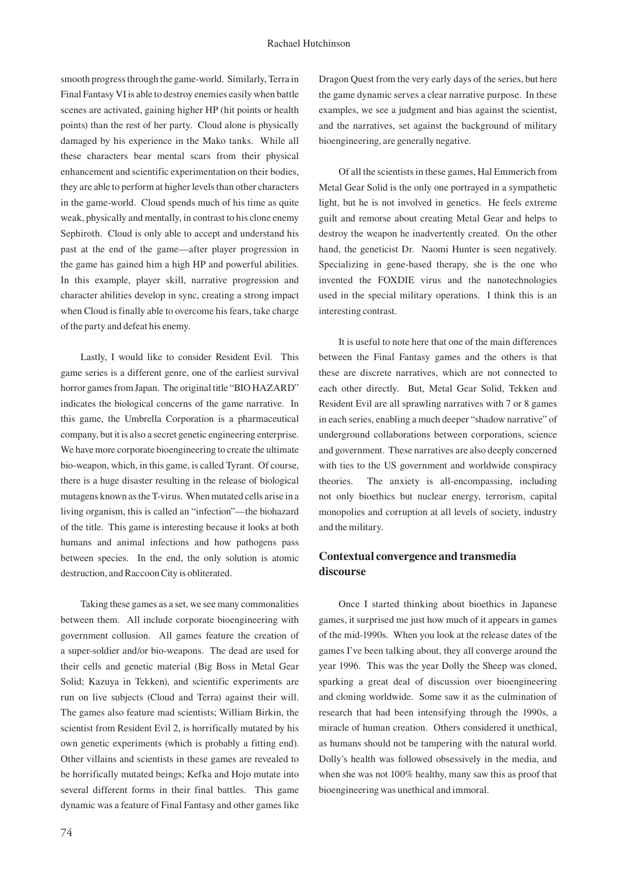smooth progress through the game-world. Similarly, Terra in Final Fantasy VI is able to destroy enemies easily when battle scenes are activated, gaining higher HP (hit points or health points) than the rest of her party. Cloud alone is physically damaged by his experience in the Mako tanks. While all these characters bear mental scars from their physical enhancement and scientific experimentation on their bodies, they are able to perform at higher levels than other characters in the game-world. Cloud spends much of his time as quite weak, physically and mentally, in contrast to his clone enemy Sephiroth. Cloud is only able to accept and understand his past at the end of the game—after player progression in the game has gained him a high HP and powerful abilities. In this example, player skill, narrative progression and character abilities develop in sync, creating a strong impact when Cloud is finally able to overcome his fears, take charge of the party and defeat his enemy.

Lastly, I would like to consider Resident Evil. This game series is a different genre, one of the earliest survival horror games from Japan. The original title "BIO HAZARD" indicates the biological concerns of the game narrative. In this game, the Umbrella Corporation is a pharmaceutical company, but it is also a secret genetic engineering enterprise. We have more corporate bioengineering to create the ultimate bio-weapon, which, in this game, is called Tyrant. Of course, there is a huge disaster resulting in the release of biological mutagens known as the T-virus. When mutated cells arise in a living organism, this is called an "infection"—the biohazard of the title. This game is interesting because it looks at both humans and animal infections and how pathogens pass between species. In the end, the only solution is atomic destruction, and Raccoon City is obliterated.

Taking these games as a set, we see many commonalities between them. All include corporate bioengineering with government collusion. All games feature the creation of a super-soldier and/or bio-weapons. The dead are used for their cells and genetic material (Big Boss in Metal Gear Solid; Kazuya in Tekken), and scientific experiments are run on live subjects (Cloud and Terra) against their will. The games also feature mad scientists; William Birkin, the scientist from Resident Evil 2, is horrifically mutated by his own genetic experiments (which is probably a fitting end). Other villains and scientists in these games are revealed to be horrifically mutated beings; Kefka and Hojo mutate into several different forms in their final battles. This game dynamic was a feature of Final Fantasy and other games like

Dragon Quest from the very early days of the series, but here the game dynamic serves a clear narrative purpose. In these examples, we see a judgment and bias against the scientist, and the narratives, set against the background of military bioengineering, are generally negative.

Of all the scientists in these games, Hal Emmerich from Metal Gear Solid is the only one portrayed in a sympathetic light, but he is not involved in genetics. He feels extreme guilt and remorse about creating Metal Gear and helps to destroy the weapon he inadvertently created. On the other hand, the geneticist Dr. Naomi Hunter is seen negatively. Specializing in gene-based therapy, she is the one who invented the FOXDIE virus and the nanotechnologies used in the special military operations. I think this is an interesting contrast.

It is useful to note here that one of the main differences between the Final Fantasy games and the others is that these are discrete narratives, which are not connected to each other directly. But, Metal Gear Solid, Tekken and Resident Evil are all sprawling narratives with 7 or 8 games in each series, enabling a much deeper "shadow narrative" of underground collaborations between corporations, science and government. These narratives are also deeply concerned with ties to the US government and worldwide conspiracy theories. The anxiety is all-encompassing, including not only bioethics but nuclear energy, terrorism, capital monopolies and corruption at all levels of society, industry and the military.

## **Contextual convergence and transmedia discourse**

Once I started thinking about bioethics in Japanese games, it surprised me just how much of it appears in games of the mid-1990s. When you look at the release dates of the games I've been talking about, they all converge around the year 1996. This was the year Dolly the Sheep was cloned, sparking a great deal of discussion over bioengineering and cloning worldwide. Some saw it as the culmination of research that had been intensifying through the 1990s, a miracle of human creation. Others considered it unethical, as humans should not be tampering with the natural world. Dolly's health was followed obsessively in the media, and when she was not 100% healthy, many saw this as proof that bioengineering was unethical and immoral.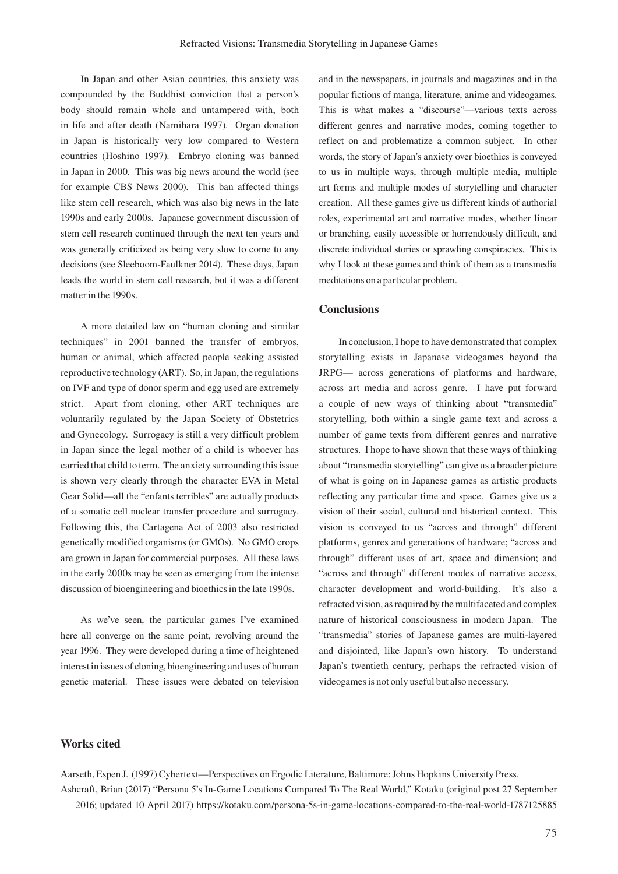In Japan and other Asian countries, this anxiety was compounded by the Buddhist conviction that a person's body should remain whole and untampered with, both in life and after death (Namihara 1997). Organ donation in Japan is historically very low compared to Western countries (Hoshino 1997). Embryo cloning was banned in Japan in 2000. This was big news around the world (see for example CBS News 2000). This ban affected things like stem cell research, which was also big news in the late 1990s and early 2000s. Japanese government discussion of stem cell research continued through the next ten years and was generally criticized as being very slow to come to any decisions (see Sleeboom-Faulkner 2014). These days, Japan leads the world in stem cell research, but it was a different matter in the 1990s.

A more detailed law on "human cloning and similar techniques" in 2001 banned the transfer of embryos, human or animal, which affected people seeking assisted reproductive technology (ART). So, in Japan, the regulations on IVF and type of donor sperm and egg used are extremely strict. Apart from cloning, other ART techniques are voluntarily regulated by the Japan Society of Obstetrics and Gynecology. Surrogacy is still a very difficult problem in Japan since the legal mother of a child is whoever has carried that child to term. The anxiety surrounding this issue is shown very clearly through the character EVA in Metal Gear Solid—all the "enfants terribles" are actually products of a somatic cell nuclear transfer procedure and surrogacy. Following this, the Cartagena Act of 2003 also restricted genetically modified organisms (or GMOs). No GMO crops are grown in Japan for commercial purposes. All these laws in the early 2000s may be seen as emerging from the intense discussion of bioengineering and bioethics in the late 1990s.

As we've seen, the particular games I've examined here all converge on the same point, revolving around the year 1996. They were developed during a time of heightened interest in issues of cloning, bioengineering and uses of human genetic material. These issues were debated on television

and in the newspapers, in journals and magazines and in the popular fictions of manga, literature, anime and videogames. This is what makes a "discourse"—various texts across different genres and narrative modes, coming together to reflect on and problematize a common subject. In other words, the story of Japan's anxiety over bioethics is conveyed to us in multiple ways, through multiple media, multiple art forms and multiple modes of storytelling and character creation. All these games give us different kinds of authorial roles, experimental art and narrative modes, whether linear or branching, easily accessible or horrendously difficult, and discrete individual stories or sprawling conspiracies. This is why I look at these games and think of them as a transmedia meditations on a particular problem.

#### **Conclusions**

In conclusion, I hope to have demonstrated that complex storytelling exists in Japanese videogames beyond the JRPG— across generations of platforms and hardware, across art media and across genre. I have put forward a couple of new ways of thinking about "transmedia" storytelling, both within a single game text and across a number of game texts from different genres and narrative structures. I hope to have shown that these ways of thinking about "transmedia storytelling" can give us a broader picture of what is going on in Japanese games as artistic products reflecting any particular time and space. Games give us a vision of their social, cultural and historical context. This vision is conveyed to us "across and through" different platforms, genres and generations of hardware; "across and through" different uses of art, space and dimension; and "across and through" different modes of narrative access, character development and world-building. It's also a refracted vision, as required by the multifaceted and complex nature of historical consciousness in modern Japan. The "transmedia" stories of Japanese games are multi-layered and disjointed, like Japan's own history. To understand Japan's twentieth century, perhaps the refracted vision of videogames is not only useful but also necessary.

#### **Works cited**

Aarseth, Espen J. (1997) Cybertext—Perspectives on Ergodic Literature, Baltimore: Johns Hopkins University Press. Ashcraft, Brian (2017) "Persona 5's In-Game Locations Compared To The Real World," Kotaku (original post 27 September 2016; updated 10 April 2017) https://kotaku.com/persona-5s-in-game-locations-compared-to-the-real-world-1787125885